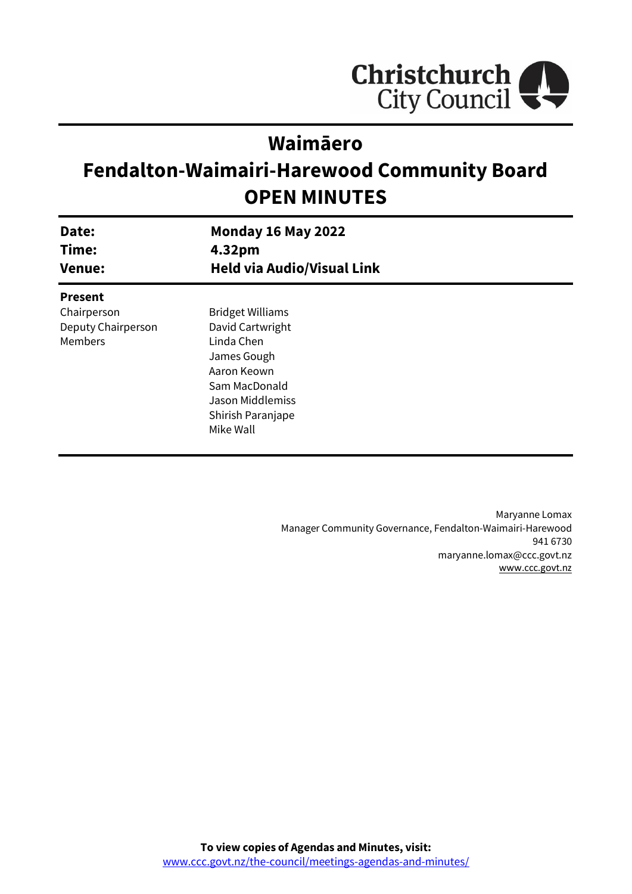

# **Waimāero**

# **Fendalton-Waimairi-Harewood Community Board OPEN MINUTES**

| Date:<br>Time:<br><b>Venue:</b>              | <b>Monday 16 May 2022</b><br>4.32pm<br><b>Held via Audio/Visual Link</b>                                                                                              |  |
|----------------------------------------------|-----------------------------------------------------------------------------------------------------------------------------------------------------------------------|--|
| <b>Present</b>                               |                                                                                                                                                                       |  |
| Chairperson<br>Deputy Chairperson<br>Members | <b>Bridget Williams</b><br>David Cartwright<br>Linda Chen<br>James Gough<br>Aaron Keown<br>Sam MacDonald<br><b>Jason Middlemiss</b><br>Shirish Paranjape<br>Mike Wall |  |

Maryanne Lomax Manager Community Governance, Fendalton-Waimairi-Harewood 941 6730 maryanne.lomax@ccc.govt.nz [www.ccc.govt.nz](http://www.ccc.govt.nz/)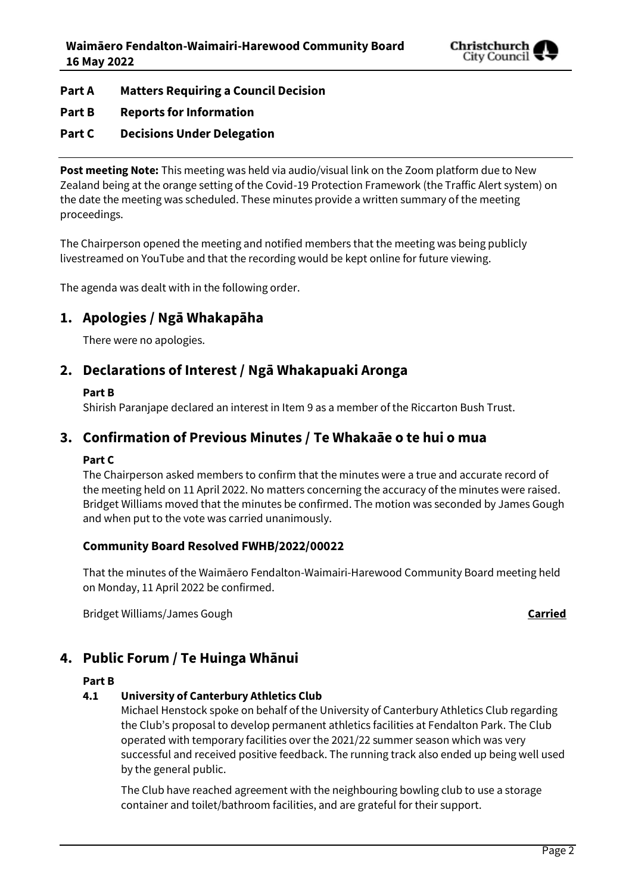

### **Part A Matters Requiring a Council Decision**

**Part B Reports for Information**

### **Part C Decisions Under Delegation**

**Post meeting Note:** This meeting was held via audio/visual link on the Zoom platform due to New Zealand being at the orange setting of the Covid-19 Protection Framework (the Traffic Alert system) on the date the meeting was scheduled. These minutes provide a written summary of the meeting proceedings.

The Chairperson opened the meeting and notified members that the meeting was being publicly livestreamed on YouTube and that the recording would be kept online for future viewing.

The agenda was dealt with in the following order.

# **1. Apologies / Ngā Whakapāha**

There were no apologies.

## **2. Declarations of Interest / Ngā Whakapuaki Aronga**

#### **Part B**

Shirish Paranjape declared an interest in Item 9 as a member of the Riccarton Bush Trust.

# **3. Confirmation of Previous Minutes / Te Whakaāe o te hui o mua**

#### **Part C**

The Chairperson asked members to confirm that the minutes were a true and accurate record of the meeting held on 11 April 2022. No matters concerning the accuracy of the minutes were raised. Bridget Williams moved that the minutes be confirmed. The motion was seconded by James Gough and when put to the vote was carried unanimously.

#### **Community Board Resolved FWHB/2022/00022**

That the minutes of the Waimāero Fendalton-Waimairi-Harewood Community Board meeting held on Monday, 11 April 2022 be confirmed.

Bridget Williams/James Gough **Carried**

# **4. Public Forum / Te Huinga Whānui**

#### **Part B**

#### **4.1 University of Canterbury Athletics Club**

Michael Henstock spoke on behalf of the University of Canterbury Athletics Club regarding the Club's proposal to develop permanent athletics facilities at Fendalton Park. The Club operated with temporary facilities over the 2021/22 summer season which was very successful and received positive feedback. The running track also ended up being well used by the general public.

The Club have reached agreement with the neighbouring bowling club to use a storage container and toilet/bathroom facilities, and are grateful for their support.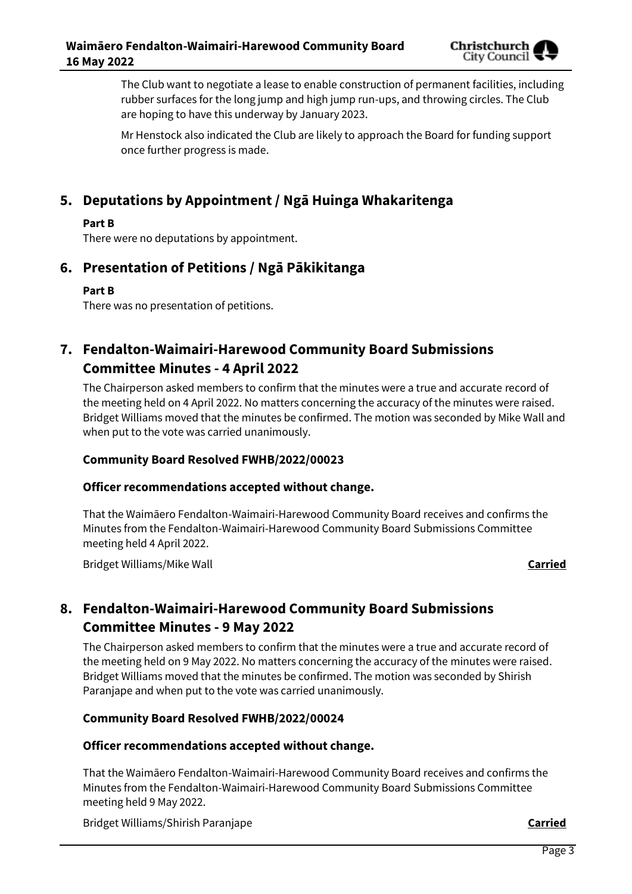

The Club want to negotiate a lease to enable construction of permanent facilities, including rubber surfaces for the long jump and high jump run-ups, and throwing circles. The Club are hoping to have this underway by January 2023.

Mr Henstock also indicated the Club are likely to approach the Board for funding support once further progress is made.

# **5. Deputations by Appointment / Ngā Huinga Whakaritenga**

#### **Part B**

There were no deputations by appointment.

# **6. Presentation of Petitions / Ngā Pākikitanga**

#### **Part B**

There was no presentation of petitions.

# **7. Fendalton-Waimairi-Harewood Community Board Submissions Committee Minutes - 4 April 2022**

The Chairperson asked members to confirm that the minutes were a true and accurate record of the meeting held on 4 April 2022. No matters concerning the accuracy of the minutes were raised. Bridget Williams moved that the minutes be confirmed. The motion was seconded by Mike Wall and when put to the vote was carried unanimously.

#### **Community Board Resolved FWHB/2022/00023**

#### **Officer recommendations accepted without change.**

That the Waimāero Fendalton-Waimairi-Harewood Community Board receives and confirms the Minutes from the Fendalton-Waimairi-Harewood Community Board Submissions Committee meeting held 4 April 2022.

Bridget Williams/Mike Wall **Carried**

# **8. Fendalton-Waimairi-Harewood Community Board Submissions Committee Minutes - 9 May 2022**

The Chairperson asked members to confirm that the minutes were a true and accurate record of the meeting held on 9 May 2022. No matters concerning the accuracy of the minutes were raised. Bridget Williams moved that the minutes be confirmed. The motion was seconded by Shirish Paranjape and when put to the vote was carried unanimously.

#### **Community Board Resolved FWHB/2022/00024**

#### **Officer recommendations accepted without change.**

That the Waimāero Fendalton-Waimairi-Harewood Community Board receives and confirms the Minutes from the Fendalton-Waimairi-Harewood Community Board Submissions Committee meeting held 9 May 2022.

Bridget Williams/Shirish Paranjape **Carried**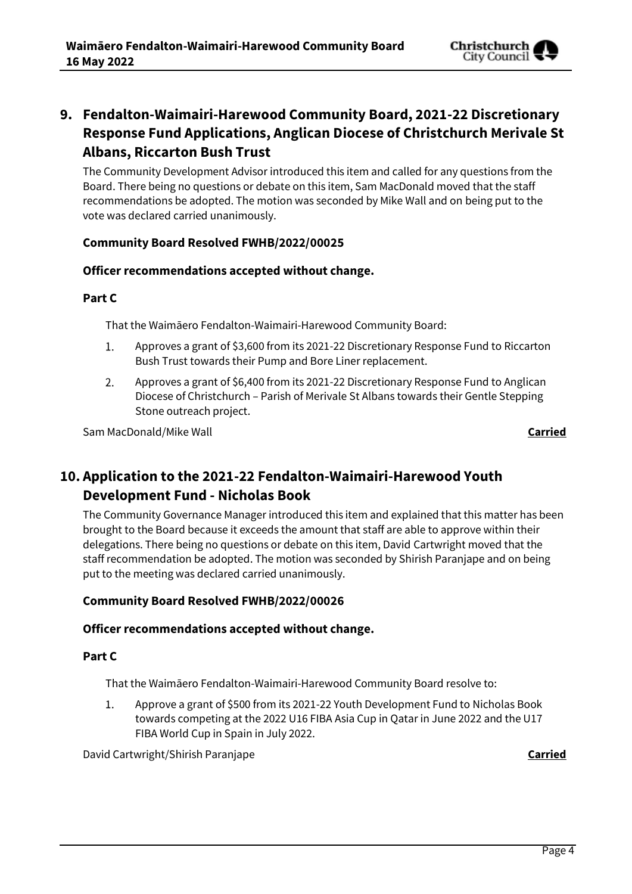

# **9. Fendalton-Waimairi-Harewood Community Board, 2021-22 Discretionary Response Fund Applications, Anglican Diocese of Christchurch Merivale St Albans, Riccarton Bush Trust**

The Community Development Advisor introduced this item and called for any questions from the Board. There being no questions or debate on this item, Sam MacDonald moved that the staff recommendations be adopted. The motion was seconded by Mike Wall and on being put to the vote was declared carried unanimously.

#### **Community Board Resolved FWHB/2022/00025**

#### **Officer recommendations accepted without change.**

#### **Part C**

That the Waimāero Fendalton-Waimairi-Harewood Community Board:

- Approves a grant of \$3,600 from its 2021-22 Discretionary Response Fund to Riccarton 1. Bush Trust towards their Pump and Bore Liner replacement.
- Approves a grant of \$6,400 from its 2021-22 Discretionary Response Fund to Anglican 2. Diocese of Christchurch – Parish of Merivale St Albans towards their Gentle Stepping Stone outreach project.

Sam MacDonald/Mike Wall **Carried**

# **10. Application to the 2021-22 Fendalton-Waimairi-Harewood Youth Development Fund - Nicholas Book**

The Community Governance Manager introduced this item and explained that this matter has been brought to the Board because it exceeds the amount that staff are able to approve within their delegations. There being no questions or debate on this item, David Cartwright moved that the staff recommendation be adopted. The motion was seconded by Shirish Paranjape and on being put to the meeting was declared carried unanimously.

#### **Community Board Resolved FWHB/2022/00026**

#### **Officer recommendations accepted without change.**

#### **Part C**

That the Waimāero Fendalton-Waimairi-Harewood Community Board resolve to:

Approve a grant of \$500 from its 2021-22 Youth Development Fund to Nicholas Book  $1.$ towards competing at the 2022 U16 FIBA Asia Cup in Qatar in June 2022 and the U17 FIBA World Cup in Spain in July 2022.

David Cartwright/Shirish Paranjape **Carried**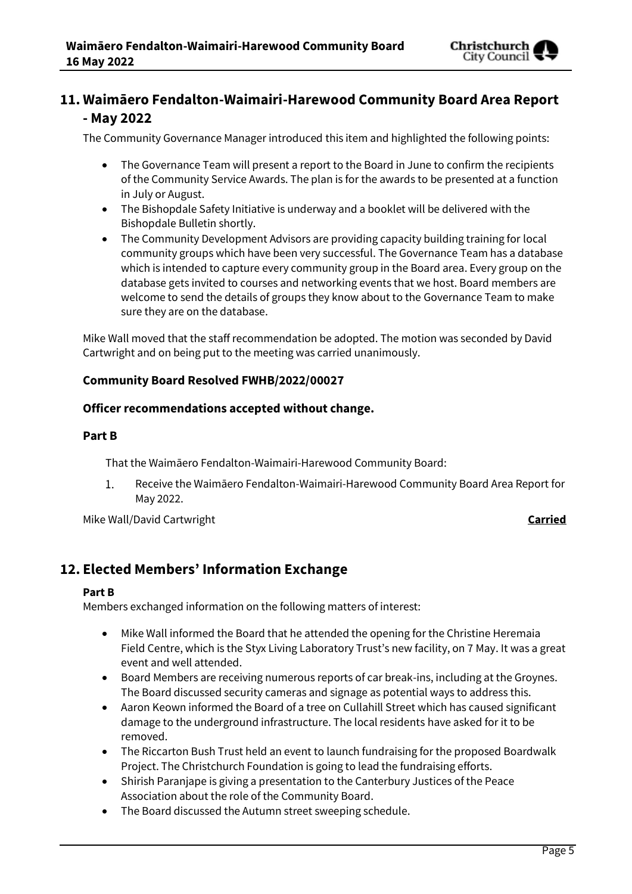

# **11. Waimāero Fendalton-Waimairi-Harewood Community Board Area Report - May 2022**

The Community Governance Manager introduced this item and highlighted the following points:

- The Governance Team will present a report to the Board in June to confirm the recipients of the Community Service Awards. The plan is for the awards to be presented at a function in July or August.
- The Bishopdale Safety Initiative is underway and a booklet will be delivered with the Bishopdale Bulletin shortly.
- The Community Development Advisors are providing capacity building training for local community groups which have been very successful. The Governance Team has a database which is intended to capture every community group in the Board area. Every group on the database gets invited to courses and networking events that we host. Board members are welcome to send the details of groups they know about to the Governance Team to make sure they are on the database.

Mike Wall moved that the staff recommendation be adopted. The motion was seconded by David Cartwright and on being put to the meeting was carried unanimously.

#### **Community Board Resolved FWHB/2022/00027**

#### **Officer recommendations accepted without change.**

#### **Part B**

That the Waimāero Fendalton-Waimairi-Harewood Community Board:

 $1<sub>1</sub>$ Receive the Waimāero Fendalton-Waimairi-Harewood Community Board Area Report for May 2022.

Mike Wall/David Cartwright **Carried**

# **12. Elected Members' Information Exchange**

#### **Part B**

Members exchanged information on the following matters of interest:

- Mike Wall informed the Board that he attended the opening for the Christine Heremaia Field Centre, which is the Styx Living Laboratory Trust's new facility, on 7 May. It was a great event and well attended.
- Board Members are receiving numerous reports of car break-ins, including at the Groynes. The Board discussed security cameras and signage as potential ways to address this.
- Aaron Keown informed the Board of a tree on Cullahill Street which has caused significant damage to the underground infrastructure. The local residents have asked for it to be removed.
- The Riccarton Bush Trust held an event to launch fundraising for the proposed Boardwalk Project. The Christchurch Foundation is going to lead the fundraising efforts.
- Shirish Paranjape is giving a presentation to the Canterbury Justices of the Peace Association about the role of the Community Board.
- The Board discussed the Autumn street sweeping schedule.